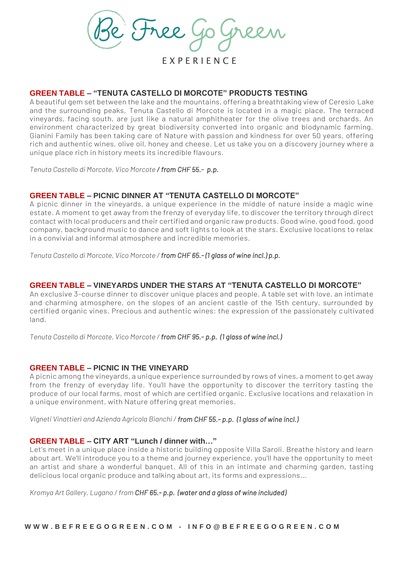

E X P E R I E N C E

# **GREEN TABLE – "TENUTA CASTELLO DI MORCOTE" PRODUCTS TESTING**

A beautiful gem set between the lake and the mountains, offering a breathtaking view of Ceresio Lake and the surrounding peaks, Tenuta Castello di Morcote is located in a magic place. The terraced vineyards, facing south, are just like a natural amphitheater for the olive trees and orchards. An environment characterized by great biodiversity converted into organic and biodynamic farming. Gianini Family has been taking care of Nature with passion and kindness for over 50 years, offering rich and authentic wines, olive oil, honey and cheese. Let us take you on a discovery journey where a unique place rich in history meets its incredible flavours.

*Tenuta Castello di Morcote, Vico Morcote / from CHF 55.- p.p.*

## **GREEN TABLE – PICNIC DINNER AT "TENUTA CASTELLO DI MORCOTE"**

A picnic dinner in the vineyards, a unique experience in the middle of nature inside a magic wine estate. A moment to get away from the frenzy of everyday life, to discover the territory through direct contact with local producers and their certified and organic raw products. Good wine, good food, good company, background music to dance and soft lights to look at the stars. Exclusive locations to relax in a convivial and informal atmosphere and incredible memories.

*Tenuta Castello di Morcote, Vico Morcote / from CHF 65.- (1 glass of wine incl.) p.p.* 

## **GREEN TABLE – VINEYARDS UNDER THE STARS AT "TENUTA CASTELLO DI MORCOTE"**

An exclusive 3-course dinner to discover unique places and people. A table set with love, an intimate and charming atmosphere, on the slopes of an ancient castle of the 15th century, surrounded by certified organic vines. Precious and authentic wines: the expression of the passionately cultivated land.

*Tenuta Castello di Morcote, Vico Morcote / from CHF 95.- p.p. (1 glass of wine incl.)* 

### **GREEN TABLE – PICNIC IN THE VINEYARD**

A picnic among the vineyards, a unique experience surrounded by rows of vines, a moment to get away from the frenzy of everyday life. You'll have the opportunity to discover the territory tasting the produce of our local farms, most of which are certified organic. Exclusive locations and relaxation in a unique environment, with Nature offering great memories.

*Vigneti Vinattieri and Azienda Agricola Bianchi / from CHF 55.- p.p. (1 glass of wine incl.)*

### **GREEN TABLE – CITY ART "Lunch / dinner with…"**

Let's meet in a unique place inside a historic building opposite Villa Saroli. Breathe history and learn about art. We'll introduce you to a theme and journey experience, you'll have the opportunity to meet an artist and share a wonderful banquet. All of this in an intimate and charming garden, tasting delicious local organic produce and talking about art, its forms and expressions…

*Kromya Art Gallery, Lugano / from CHF 65.- p.p. (water and a glass of wine included)*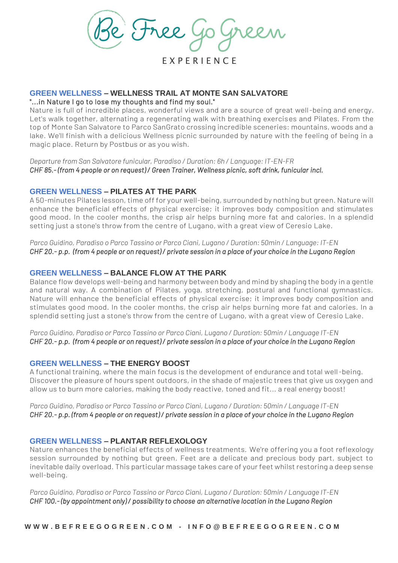e Free

E X P E R I E N C E

#### **GREEN WELLNESS – WELLNESS TRAIL AT MONTE SAN SALVATORE** "...in Nature I go to lose my thoughts and find my soul."

Nature is full of incredible places, wonderful views and are a source of great well-being and energy. Let's walk together, alternating a regenerating walk with breathing exercises and Pilates. From the top of Monte San Salvatore to Parco SanGrato crossing incredible sceneries: mountains, woods and a lake. We'll finish with a delicious Wellness picnic surrounded by nature with the feeling of being in a magic place. Return by Postbus or as you wish.

*Departure from San Salvatore funicular, Paradiso / Duration: 6h / Language: IT-EN-FR CHF 85.- (from 4 people or on request) / Green Trainer, Wellness picnic, soft drink, funicular incl.*

## **GREEN WELLNESS – PILATES AT THE PARK**

A 50-minutes Pilates lesson, time off for your well-being, surrounded by nothing but green. Nature will enhance the beneficial effects of physical exercise; it improves body composition and stimulates good mood. In the cooler months, the crisp air helps burning more fat and calories. In a splendid setting just a stone's throw from the centre of Lugano, with a great view of Ceresio Lake.

*Parco Guidino, Paradiso o Parco Tassino or Parco Ciani, Lugano / Duration: 50min / Language: IT-EN CHF 20.- p.p. (from 4 people or on request) / private session in a place of your choice in the Lugano Region* 

## **GREEN WELLNESS – BALANCE FLOW AT THE PARK**

Balance flow develops well-being and harmony between body and mind by shaping the body in a gentle and natural way. A combination of Pilates, yoga, stretching, postural and functional gymnastics. Nature will enhance the beneficial effects of physical exercise; it improves body composition and stimulates good mood. In the cooler months, the crisp air helps burning more fat and calories. In a splendid setting just a stone's throw from the centre of Lugano, with a great view of Ceresio Lake.

*Parco Guidino, Paradiso or Parco Tassino or Parco Ciani, Lugano / Duration: 50min / Language IT-EN CHF 20.- p.p. (from 4 people or on request) / private session in a place of your choice in the Lugano Region* 

# **GREEN WELLNESS – THE ENERGY BOOST**

A functional training, where the main focus is the development of endurance and total well-being. Discover the pleasure of hours spent outdoors, in the shade of majestic trees that give us oxygen and allow us to burn more calories, making the body reactive, toned and fit... a real energy boost!

*Parco Guidino, Paradiso or Parco Tassino or Parco Ciani, Lugano / Duration: 50min / Language IT-EN CHF 20.- p.p. (from 4 people or on request) / private session in a place of your choice in the Lugano Region* 

# **GREEN WELLNESS – PLANTAR REFLEXOLOGY**

Nature enhances the beneficial effects of wellness treatments. We're offering you a foot reflexology session surrounded by nothing but green. Feet are a delicate and precious body part, subject to inevitable daily overload. This particular massage takes care of your feet whilst restoring a deep sense well-being.

*Parco Guidino, Paradiso or Parco Tassino or Parco Ciani, Lugano / Duration: 50min / Language IT-EN CHF 100.- (by appointment only) / possibility to choose an alternative location in the Lugano Region*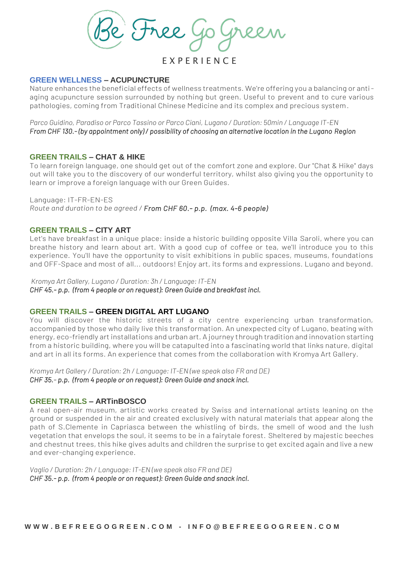e Free

E X P E R I E N C E

### **GREEN WELLNESS – ACUPUNCTURE**

Nature enhances the beneficial effects of wellness treatments. We're offering you a balancing or antiaging acupuncture session surrounded by nothing but green. Useful to prevent and to cure various pathologies, coming from Traditional Chinese Medicine and its complex and precious system.

*Parco Guidino, Paradiso or Parco Tassino or Parco Ciani, Lugano / Duration: 50min / Language IT-EN From CHF 130.- (by appointment only) / possibility of choosing an alternative location in the Lugano Region* 

### **GREEN TRAILS – CHAT & HIKE**

To learn foreign language, one should get out of the comfort zone and explore. Our "Chat & Hike" days out will take you to the discovery of our wonderful territory, whilst also giving you the opportunity to learn or improve a foreign language with our Green Guides.

Language: IT-FR-EN-ES *Route and duration to be agreed / From CHF 60.- p.p. (max. 4-6 people)* 

#### **GREEN TRAILS – CITY ART**

Let's have breakfast in a unique place: inside a historic building opposite Villa Saroli, where you can breathe history and learn about art. With a good cup of coffee or tea, we'll introduce you to this experience. You'll have the opportunity to visit exhibitions in public spaces, museums, foundations and OFF-Space and most of all... outdoors! Enjoy art, its forms and expressions. Lugano and beyond.

*Kromya Art Gallery, Lugano / Duration: 3h / Language: IT-EN CHF 45.- p.p. (from 4 people or on request): Green Guide and breakfast incl.* 

### **GREEN TRAILS – GREEN DIGITAL ART LUGANO**

You will discover the historic streets of a city centre experiencing urban transformation, accompanied by those who daily live this transformation. An unexpected city of Lugano, beating with energy, eco-friendly art installations and urban art. A journey through tradition and innovation starting from a historic building, where you will be catapulted into a fascinating world that links nature, digital and art in all its forms. An experience that comes from the collaboration with Kromya Art Gallery.

*Kromya Art Gallery / Duration: 2h / Language: IT-EN (we speak also FR and DE) CHF 35.- p.p. (from 4 people or on request): Green Guide and snack incl.* 

### **GREEN TRAILS – ARTinBOSCO**

A real open-air museum, artistic works created by Swiss and international artists leaning on the ground or suspended in the air and created exclusively with natural materials that appear along the path of S.Clemente in Capriasca between the whistling of birds, the smell of wood and the lush vegetation that envelops the soul, it seems to be in a fairytale forest. Sheltered by majestic beeches and chestnut trees, this hike gives adults and children the surprise to get excited again and live a new and ever-changing experience.

*Vaglio / Duration: 2h / Language: IT-EN (we speak also FR and DE) CHF 35.- p.p. (from 4 people or on request): Green Guide and snack incl.*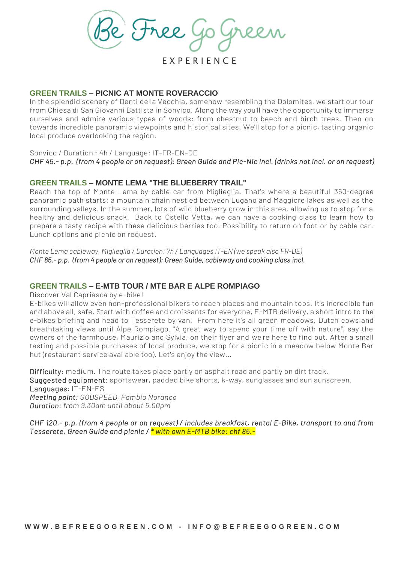Free

E X P E R I E N C E

## **GREEN TRAILS – PICNIC AT MONTE ROVERACCIO**

In the splendid scenery of Denti della Vecchia, somehow resembling the Dolomites, we start our tour from Chiesa di San Giovanni Battista in Sonvico. Along the way you'll have the opportunity to immerse ourselves and admire various types of woods: from chestnut to beech and birch trees. Then on towards incredible panoramic viewpoints and historical sites. We'll stop for a picnic, tasting organic local produce overlooking the region.

Sonvico / Duration : 4h / Language: IT-FR-EN-DE

*CHF 45.- p.p. (from 4 people or on request): Green Guide and Pic-Nic incl. (drinks not incl. or on request)*

## **GREEN TRAILS – MONTE LEMA "THE BLUEBERRY TRAIL"**

Reach the top of Monte Lema by cable car from Miglieglia. That's where a beautiful 360-degree panoramic path starts: a mountain chain nestled between Lugano and Maggiore lakes as well as the surrounding valleys. In the summer, lots of wild blueberry grow in this area, allowing us to stop for a healthy and delicious snack. Back to Ostello Vetta, we can have a cooking class to learn how to prepare a tasty recipe with these delicious berries too. Possibility to return on foot or by cable car. Lunch options and picnic on request.

*Monte Lema cableway, Miglieglia / Duration: 7h / Languages IT-EN (we speak also FR-DE) CHF 85.- p.p. (from 4 people or on request): Green Guide, cableway and cooking class incl.* 

# **GREEN TRAILS – E-MTB TOUR / MTE BAR E ALPE ROMPIAGO**

Discover Val Capriasca by e-bike!

E-bikes will allow even non-professional bikers to reach places and mountain tops. It's incredible fun and above all, safe. Start with coffee and croissants for everyone, E-MTB delivery, a short intro to the e-bikes briefing and head to Tesserete by van. From here it's all green meadows, Dutch cows and breathtaking views until Alpe Rompiago. "A great way to spend your time off with nature", say the owners of the farmhouse, Maurizio and Sylvia, on their flyer and we're here to find out. After a small tasting and possible purchases of local produce, we stop for a picnic in a meadow below Monte Bar hut (restaurant service available too). Let's enjoy the view…

Difficulty: medium. The route takes place partly on asphalt road and partly on dirt track. Suggested equipment: sportswear, padded bike shorts, k-way, sunglasses and sun sunscreen. Languages: IT-EN-ES *Meeting point: GODSPEED, Pambio Noranco Duration: from 9.30am until about 5.00pm*

*CHF 120.- p.p. (from 4 people or on request) / includes breakfast, rental E-Bike, transport to and from Tesserete, Green Guide and picnic / \* with own E-MTB bike: chf 85.-*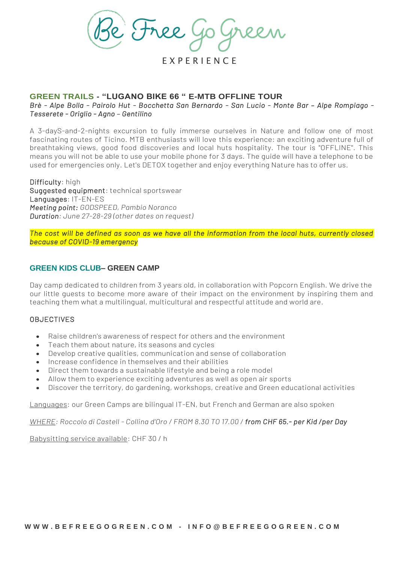Free

E X P E R I E N C E

# **GREEN TRAILS - "LUGANO BIKE 66 " E-MTB OFFLINE TOUR**

*Brè - Alpe Bolla - Pairolo Hut - Bocchetta San Bernardo - San Lucio - Monte Bar - Alpe Rompiago -Tesserete - Origlio - Agno – Gentilino* 

A 3-dayS-and-2-nights excursion to fully immerse ourselves in Nature and follow one of most fascinating routes of Ticino. MTB enthusiasts will love this experience: an exciting adventure full of breathtaking views, good food discoveries and local huts hospitality. The tour is "OFFLINE". This means you will not be able to use your mobile phone for 3 days. The guide will have a telephone to be used for emergencies only. Let's DETOX together and enjoy everything Nature has to offer us.

Difficulty: high Suggested equipment: technical sportswear Languages: IT-EN-ES *Meeting point: GODSPEED, Pambio Noranco Duration: June 27-28-29 (other dates on request)*

*The cost will be defined as soon as we have all the information from the local huts, currently closed because of COVID-19 emergency* 

## **GREEN KIDS CLUB– GREEN CAMP**

Day camp dedicated to children from 3 years old, in collaboration with Popcorn English. We drive the our little guests to become more aware of their impact on the environment by inspiring them and teaching them what a multilingual, multicultural and respectful attitude and world are.

## **OBJECTIVES**

- Raise children's awareness of respect for others and the environment
- Teach them about nature, its seasons and cycles
- Develop creative qualities, communication and sense of collaboration
- Increase confidence in themselves and their abilities
- Direct them towards a sustainable lifestyle and being a role model
- Allow them to experience exciting adventures as well as open air sports
- Discover the territory, do gardening, workshops, creative and Green educational activities

Languages: our Green Camps are bilingual IT-EN, but French and German are also spoken

*WHERE: Roccolo di Castell - Collina d'Oro / FROM 8.30 TO 17.00 / from CHF 65.- per Kid /per Day*

Babysitting service available: CHF 30 / h